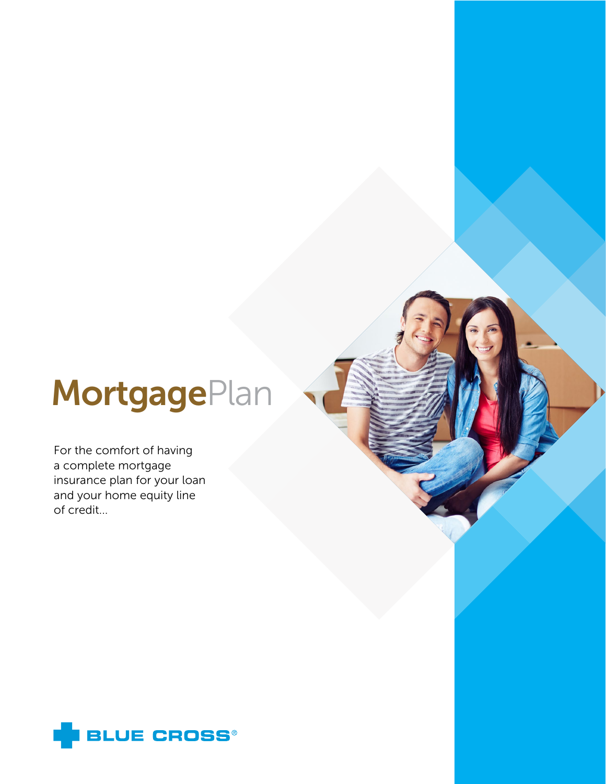# **MortgagePlan**

For the comfort of having a complete mortgage insurance plan for your loan and your home equity line of credit...

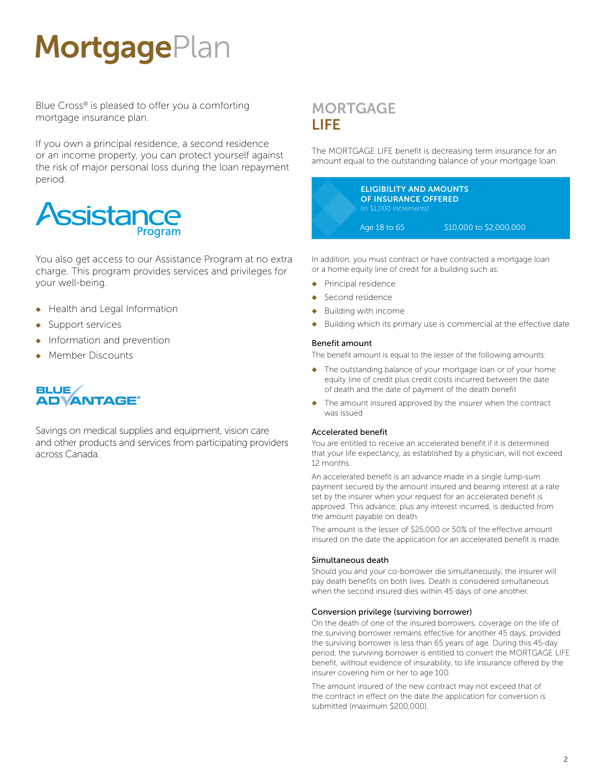# **MortgagePlan**

Blue Cross® is pleased to offer you a comforting mortgage insurance plan.

If you own a principal residence, a second residence or an income property, you can protect yourself against the risk of major personal loss during the loan repayment period.



You also get access to our Assistance Program at no extra charge. This program provides services and privileges for your well-being.

- ◆ Health and Legal Information
- ◆ Support services
- ◆ Information and prevention
- **Member Discounts**

# **BLUE/ ADVANTAGE®**

Savings on medical supplies and equipment, vision care and other products and services from participating providers across Canada.

# **MORTGAGE** LIFE

The MORTGAGE LIFE benefit is decreasing term insurance for an amount equal to the outstanding balance of your mortgage loan.



In addition, you must contract or have contracted a mortgage loan or a home equity line of credit for a building such as:

- Principal residence
- Second residence
- Building with income
- Building which its primary use is commercial at the effective date

# Benefit amount

The benefit amount is equal to the lesser of the following amounts:

- ◆ The outstanding balance of your mortgage loan or of your home equity line of credit plus credit costs incurred between the date of death and the date of payment of the death benefit
- ◆ The amount insured approved by the insurer when the contract was issued

# Accelerated benefit

You are entitled to receive an accelerated benefit if it is determined that your life expectancy, as established by a physician, will not exceed 12 months.

An accelerated benefit is an advance made in a single lump-sum payment secured by the amount insured and bearing interest at a rate set by the insurer when your request for an accelerated benefit is approved. This advance, plus any interest incurred, is deducted from the amount payable on death.

The amount is the lesser of \$25,000 or 50% of the effective amount insured on the date the application for an accelerated benefit is made.

# Simultaneous death

Should you and your co-borrower die simultaneously, the insurer will pay death benefits on both lives. Death is considered simultaneous when the second insured dies within 45 days of one another.

# Conversion privilege (surviving borrower)

On the death of one of the insured borrowers, coverage on the life of the surviving borrower remains effective for another 45 days, provided the surviving borrower is less than 65 years of age. During this 45-day period, the surviving borrower is entitled to convert the MORTGAGE LIFE benefit, without evidence of insurability, to life insurance offered by the insurer covering him or her to age 100.

The amount insured of the new contract may not exceed that of the contract in effect on the date the application for conversion is submitted (maximum \$200,000).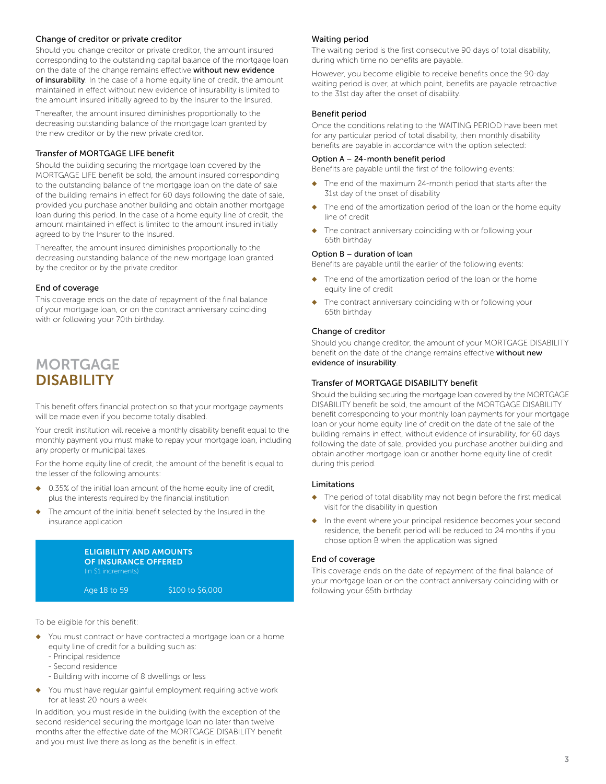# Change of creditor or private creditor

Should you change creditor or private creditor, the amount insured corresponding to the outstanding capital balance of the mortgage loan on the date of the change remains effective without new evidence of insurability. In the case of a home equity line of credit, the amount maintained in effect without new evidence of insurability is limited to the amount insured initially agreed to by the Insurer to the Insured.

Thereafter, the amount insured diminishes proportionally to the decreasing outstanding balance of the mortgage loan granted by the new creditor or by the new private creditor.

#### Transfer of MORTGAGE LIFE benefit

Should the building securing the mortgage loan covered by the MORTGAGE LIFE benefit be sold, the amount insured corresponding to the outstanding balance of the mortgage loan on the date of sale of the building remains in effect for 60 days following the date of sale, provided you purchase another building and obtain another mortgage loan during this period. In the case of a home equity line of credit, the amount maintained in effect is limited to the amount insured initially agreed to by the Insurer to the Insured.

Thereafter, the amount insured diminishes proportionally to the decreasing outstanding balance of the new mortgage loan granted by the creditor or by the private creditor.

#### End of coverage

This coverage ends on the date of repayment of the final balance of your mortgage loan, or on the contract anniversary coinciding with or following your 70th birthday.

# **MORTGAGE** DISABILITY

This benefit offers financial protection so that your mortgage payments will be made even if you become totally disabled.

Your credit institution will receive a monthly disability benefit equal to the monthly payment you must make to repay your mortgage loan, including any property or municipal taxes.

For the home equity line of credit, the amount of the benefit is equal to the lesser of the following amounts:

- 0.35% of the initial loan amount of the home equity line of credit, plus the interests required by the financial institution
- The amount of the initial benefit selected by the Insured in the insurance application

| (in \$1 increments) | <b>ELIGIBILITY AND AMOUNTS</b><br><b>OF INSURANCE OFFERED</b> |  |
|---------------------|---------------------------------------------------------------|--|
| Age 18 to 59        | \$100 to \$6,000                                              |  |

To be eligible for this benefit:

- You must contract or have contracted a mortgage loan or a home equity line of credit for a building such as:
	- Principal residence
	- Second residence
	- Building with income of 8 dwellings or less
- ◆ You must have regular gainful employment requiring active work for at least 20 hours a week

In addition, you must reside in the building (with the exception of the second residence) securing the mortgage loan no later than twelve months after the effective date of the MORTGAGE DISABILITY benefit and you must live there as long as the benefit is in effect.

#### Waiting period

The waiting period is the first consecutive 90 days of total disability, during which time no benefits are payable.

However, you become eligible to receive benefits once the 90-day waiting period is over, at which point, benefits are payable retroactive to the 31st day after the onset of disability.

#### Benefit period

Once the conditions relating to the WAITING PERIOD have been met for any particular period of total disability, then monthly disability benefits are payable in accordance with the option selected:

#### Option A – 24-month benefit period

Benefits are payable until the first of the following events:

- ◆ The end of the maximum 24-month period that starts after the 31st day of the onset of disability
- The end of the amortization period of the loan or the home equity line of credit
- ◆ The contract anniversary coinciding with or following your 65th birthday

#### Option B – duration of loan

Benefits are payable until the earlier of the following events:

- The end of the amortization period of the loan or the home equity line of credit
- The contract anniversary coinciding with or following your 65th birthday

#### Change of creditor

Should you change creditor, the amount of your MORTGAGE DISABILITY benefit on the date of the change remains effective without new evidence of insurability.

#### Transfer of MORTGAGE DISABILITY benefit

Should the building securing the mortgage loan covered by the MORTGAGE DISABILITY benefit be sold, the amount of the MORTGAGE DISABILITY benefit corresponding to your monthly loan payments for your mortgage loan or your home equity line of credit on the date of the sale of the building remains in effect, without evidence of insurability, for 60 days following the date of sale, provided you purchase another building and obtain another mortgage loan or another home equity line of credit during this period.

#### Limitations

- ◆ The period of total disability may not begin before the first medical visit for the disability in question
- ◆ In the event where your principal residence becomes your second residence, the benefit period will be reduced to 24 months if you chose option B when the application was signed

#### End of coverage

This coverage ends on the date of repayment of the final balance of your mortgage loan or on the contract anniversary coinciding with or following your 65th birthday.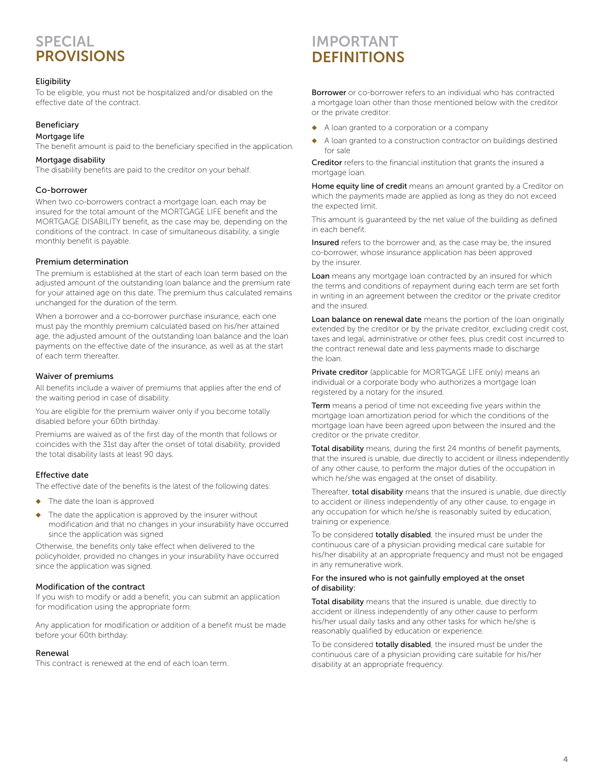# **SPECIAL PROVISIONS**

### Eligibility

To be eligible, you must not be hospitalized and/or disabled on the effective date of the contract.

## Beneficiary

#### Mortgage life

The benefit amount is paid to the beneficiary specified in the application.

#### Mortgage disability

The disability benefits are paid to the creditor on your behalf.

#### Co-borrower

When two co-borrowers contract a mortgage loan, each may be insured for the total amount of the MORTGAGE LIFE benefit and the MORTGAGE DISABILITY benefit, as the case may be, depending on the conditions of the contract. In case of simultaneous disability, a single monthly benefit is payable.

#### Premium determination

The premium is established at the start of each loan term based on the adjusted amount of the outstanding loan balance and the premium rate for your attained age on this date. The premium thus calculated remains unchanged for the duration of the term.

When a borrower and a co-borrower purchase insurance, each one must pay the monthly premium calculated based on his/her attained age, the adjusted amount of the outstanding loan balance and the loan payments on the effective date of the insurance, as well as at the start of each term thereafter.

#### Waiver of premiums

All benefits include a waiver of premiums that applies after the end of the waiting period in case of disability.

You are eligible for the premium waiver only if you become totally disabled before your 60th birthday.

Premiums are waived as of the first day of the month that follows or coincides with the 31st day after the onset of total disability, provided the total disability lasts at least 90 days.

#### Effective date

The effective date of the benefits is the latest of the following dates:

- The date the loan is approved
- The date the application is approved by the insurer without modification and that no changes in your insurability have occurred since the application was signed

Otherwise, the benefits only take effect when delivered to the policyholder, provided no changes in your insurability have occurred since the application was signed.

### Modification of the contract

If you wish to modify or add a benefit, you can submit an application for modification using the appropriate form.

Any application for modification or addition of a benefit must be made before your 60th birthday.

#### Renewal

This contract is renewed at the end of each loan term.

# **IMPORTANT DEFINITIONS**

Borrower or co-borrower refers to an individual who has contracted a mortgage loan other than those mentioned below with the creditor or the private creditor:

- A loan granted to a corporation or a company
- A loan granted to a construction contractor on buildings destined for sale

Creditor refers to the financial institution that grants the insured a mortgage loan.

Home equity line of credit means an amount granted by a Creditor on which the payments made are applied as long as they do not exceed the expected limit.

This amount is guaranteed by the net value of the building as defined in each benefit.

Insured refers to the borrower and, as the case may be, the insured co-borrower, whose insurance application has been approved by the insurer.

Loan means any mortgage loan contracted by an insured for which the terms and conditions of repayment during each term are set forth in writing in an agreement between the creditor or the private creditor and the insured.

Loan balance on renewal date means the portion of the loan originally extended by the creditor or by the private creditor, excluding credit cost, taxes and legal, administrative or other fees, plus credit cost incurred to the contract renewal date and less payments made to discharge the loan.

Private creditor (applicable for MORTGAGE LIFE only) means an individual or a corporate body who authorizes a mortgage loan registered by a notary for the insured.

Term means a period of time not exceeding five years within the mortgage loan amortization period for which the conditions of the mortgage loan have been agreed upon between the insured and the creditor or the private creditor.

Total disability means, during the first 24 months of benefit payments, that the insured is unable, due directly to accident or illness independently of any other cause, to perform the major duties of the occupation in which he/she was engaged at the onset of disability.

Thereafter, total disability means that the insured is unable, due directly to accident or illness independently of any other cause, to engage in any occupation for which he/she is reasonably suited by education, training or experience.

To be considered **totally disabled**, the insured must be under the continuous care of a physician providing medical care suitable for his/her disability at an appropriate frequency and must not be engaged in any remunerative work.

#### For the insured who is not gainfully employed at the onset of disability:

Total disability means that the insured is unable, due directly to accident or illness independently of any other cause to perform his/her usual daily tasks and any other tasks for which he/she is reasonably qualified by education or experience.

To be considered **totally disabled**, the insured must be under the continuous care of a physician providing care suitable for his/her disability at an appropriate frequency.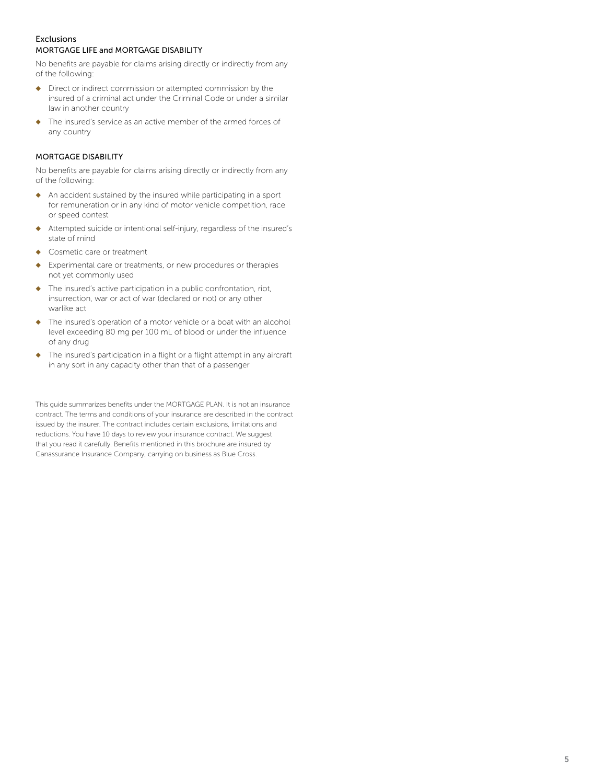# Exclusions MORTGAGE LIFE and MORTGAGE DISABILITY

No benefits are payable for claims arising directly or indirectly from any of the following:

- ◆ Direct or indirect commission or attempted commission by the insured of a criminal act under the Criminal Code or under a similar law in another country
- ◆ The insured's service as an active member of the armed forces of any country

# MORTGAGE DISABILITY

No benefits are payable for claims arising directly or indirectly from any of the following:

- ◆ An accident sustained by the insured while participating in a sport for remuneration or in any kind of motor vehicle competition, race or speed contest
- ◆ Attempted suicide or intentional self-injury, regardless of the insured's state of mind
- ◆ Cosmetic care or treatment
- ◆ Experimental care or treatments, or new procedures or therapies not yet commonly used
- ◆ The insured's active participation in a public confrontation, riot, insurrection, war or act of war (declared or not) or any other warlike act
- The insured's operation of a motor vehicle or a boat with an alcohol level exceeding 80 mg per 100 mL of blood or under the influence of any drug
- ◆ The insured's participation in a flight or a flight attempt in any aircraft in any sort in any capacity other than that of a passenger

This guide summarizes benefits under the MORTGAGE PLAN. It is not an insurance contract. The terms and conditions of your insurance are described in the contract issued by the insurer. The contract includes certain exclusions, limitations and reductions. You have 10 days to review your insurance contract. We suggest that you read it carefully. Benefits mentioned in this brochure are insured by Canassurance Insurance Company, carrying on business as Blue Cross.